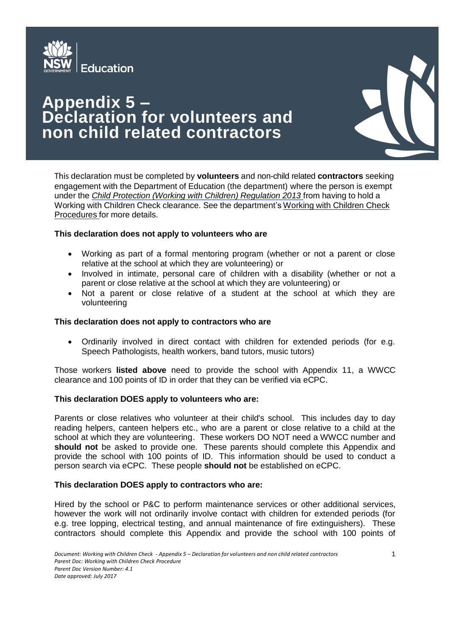

# **Appendix 5 – Declaration for volunteers and non child related contractors**



This declaration must be completed by **volunteers** and non-child related **contractors** seeking engagement with the Department of Education (the department) where the person is exempt under the *Child Protection (Working with Children) [Regulation](http://www.legislation.nsw.gov.au/maintop/view/inforce/subordleg%2B156%2B2013%2Bcd%2B0%2BN) 2013* from having to hold a Working with Children Check clearance. See the department's [Working](https://www.det.nsw.edu.au/policies/student_serv/child_protection/work_child/Working-with-Children-Check-Procedures.pdf) with Children Check [Procedures](https://www.det.nsw.edu.au/policies/student_serv/child_protection/work_child/Working-with-Children-Check-Procedures.pdf) for more details.

# **This declaration does not apply to volunteers who are**

- Working as part of a formal mentoring program (whether or not a parent or close relative at the school at which they are volunteering) or
- Involved in intimate, personal care of children with a disability (whether or not a parent or close relative at the school at which they are volunteering) or
- Not a parent or close relative of a student at the school at which they are volunteering

### **This declaration does not apply to contractors who are**

 Ordinarily involved in direct contact with children for extended periods (for e.g. Speech Pathologists, health workers, band tutors, music tutors)

Those workers **listed above** need to provide the school with Appendix 11, a WWCC clearance and 100 points of ID in order that they can be verified via eCPC.

### **This declaration DOES apply to volunteers who are:**

Parents or close relatives who volunteer at their child's school. This includes day to day reading helpers, canteen helpers etc., who are a parent or close relative to a child at the school at which they are volunteering. These workers DO NOT need a WWCC number and **should not** be asked to provide one. These parents should complete this Appendix and provide the school with 100 points of ID. This information should be used to conduct a person search via eCPC. These people **should not** be established on eCPC.

### **This declaration DOES apply to contractors who are:**

Hired by the school or P&C to perform maintenance services or other additional services, however the work will not ordinarily involve contact with children for extended periods (for e.g. tree lopping, electrical testing, and annual maintenance of fire extinguishers). These contractors should complete this Appendix and provide the school with 100 points of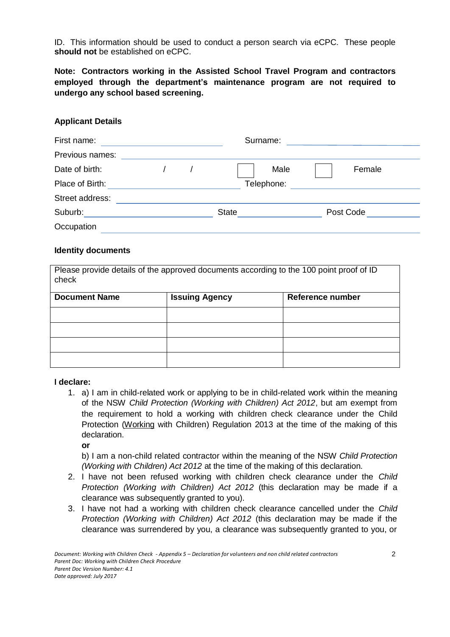ID. This information should be used to conduct a person search via eCPC. These people **should not** be established on eCPC.

**Note: Contractors working in the Assisted School Travel Program and contractors employed through the department's maintenance program are not required to undergo any school based screening.**

# **Applicant Details**

| First name:     |  |  | Surname:     |      |           |  |
|-----------------|--|--|--------------|------|-----------|--|
| Previous names: |  |  |              |      |           |  |
| Date of birth:  |  |  |              | Male | Female    |  |
| Place of Birth: |  |  | Telephone:   |      |           |  |
| Street address: |  |  |              |      |           |  |
| Suburb:         |  |  | <b>State</b> |      | Post Code |  |
| Occupation      |  |  |              |      |           |  |

### **Identity documents**

Please provide details of the approved documents according to the 100 point proof of ID check

| <b>Document Name</b> | <b>Issuing Agency</b> | <b>Reference number</b> |  |  |
|----------------------|-----------------------|-------------------------|--|--|
|                      |                       |                         |  |  |
|                      |                       |                         |  |  |
|                      |                       |                         |  |  |
|                      |                       |                         |  |  |

### **I declare:**

1. a) I am in child-related work or applying to be in child-related work within the meaning of the NSW *Child Protection (Working with Children) Act 2012*, but am exempt from the requirement to hold a working with children check clearance under the Child Protection (Working with Children) Regulation 2013 at the time of the making of this declaration.

**or**

b) I am a non-child related contractor within the meaning of the NSW *Child Protection (Working with Children) Act 2012* at the time of the making of this declaration.

- 2. I have not been refused working with children check clearance under the *Child Protection (Working with Children) Act 2012* (this declaration may be made if a clearance was subsequently granted to you).
- 3. I have not had a working with children check clearance cancelled under the *Child Protection (Working with Children) Act 2012* (this declaration may be made if the clearance was surrendered by you, a clearance was subsequently granted to you, or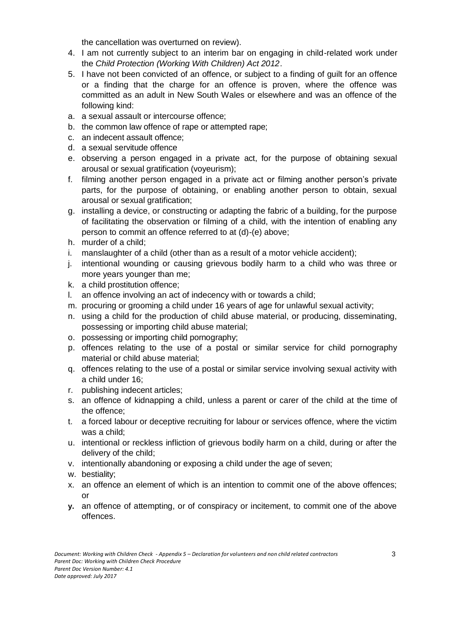the cancellation was overturned on review).

- 4. I am not currently subject to an interim bar on engaging in child-related work under the *Child Protection (Working With Children) Act 2012*.
- 5. I have not been convicted of an offence, or subject to a finding of guilt for an offence or a finding that the charge for an offence is proven, where the offence was committed as an adult in New South Wales or elsewhere and was an offence of the following kind:
- a. a sexual assault or intercourse offence;
- b. the common law offence of rape or attempted rape;
- c. an indecent assault offence;
- d. a sexual servitude offence
- e. observing a person engaged in a private act, for the purpose of obtaining sexual arousal or sexual gratification (voyeurism);
- f. filming another person engaged in a private act or filming another person's private parts, for the purpose of obtaining, or enabling another person to obtain, sexual arousal or sexual gratification;
- g. installing a device, or constructing or adapting the fabric of a building, for the purpose of facilitating the observation or filming of a child, with the intention of enabling any person to commit an offence referred to at (d)-(e) above;
- h. murder of a child;
- i. manslaughter of a child (other than as a result of a motor vehicle accident);
- j. intentional wounding or causing grievous bodily harm to a child who was three or more years younger than me;
- k. a child prostitution offence;
- l. an offence involving an act of indecency with or towards a child;
- m. procuring or grooming a child under 16 years of age for unlawful sexual activity;
- n. using a child for the production of child abuse material, or producing, disseminating, possessing or importing child abuse material;
- o. possessing or importing child pornography;
- p. offences relating to the use of a postal or similar service for child pornography material or child abuse material;
- q. offences relating to the use of a postal or similar service involving sexual activity with a child under 16;
- r. publishing indecent articles;
- s. an offence of kidnapping a child, unless a parent or carer of the child at the time of the offence;
- t. a forced labour or deceptive recruiting for labour or services offence, where the victim was a child;
- u. intentional or reckless infliction of grievous bodily harm on a child, during or after the delivery of the child;
- v. intentionally abandoning or exposing a child under the age of seven;
- w. bestiality;
- x. an offence an element of which is an intention to commit one of the above offences; or
- **y.** an offence of attempting, or of conspiracy or incitement, to commit one of the above offences.